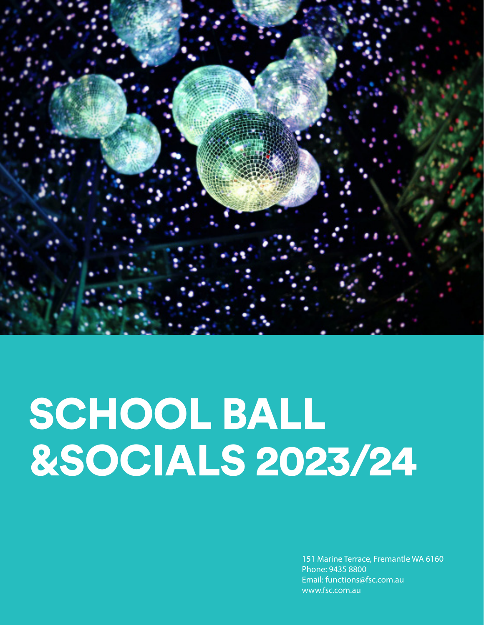

# SCHOOL BALL &SOCIALS 2023/24

151 Marine Terrace, Fremantle WA 6160 Phone: 9435 8800 Email: functions@fsc.com.au www.fsc.com.au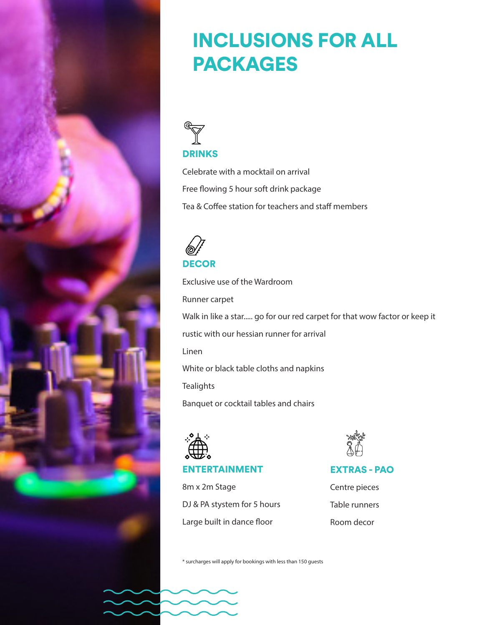

### INCLUSIONS FOR ALL PACKAGES



Celebrate with a mocktail on arrival Free flowing 5 hour soft drink package Tea & Coffee station for teachers and staff members



Exclusive use of the Wardroom Runner carpet Walk in like a star..... go for our red carpet for that wow factor or keep it rustic with our hessian runner for arrival Linen White or black table cloths and napkins **Tealights** Banquet or cocktail tables and chairs



#### ENTERTAINMENT

8m x 2m Stage DJ & PA stystem for 5 hours Large built in dance floor



#### EXTRAS - PAO

Centre pieces Table runners Room decor

\* surcharges will apply for bookings with less than 150 guests

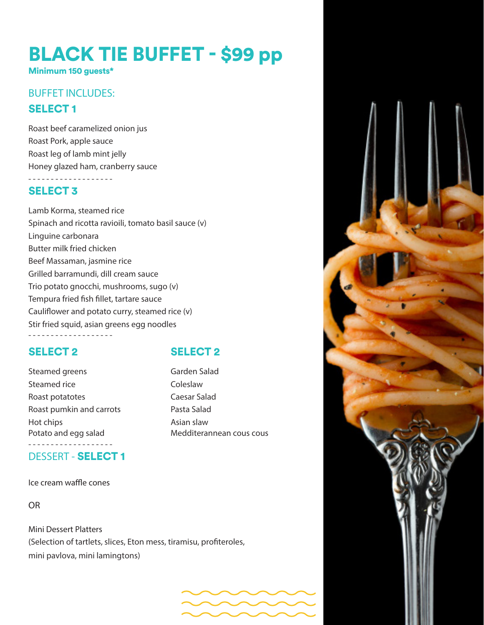### BLACK TIE BUFFET - \$99 pp

Minimum 150 guests\*

#### SELECT 1 **BUFFET INCLUDES:**

Roast beef caramelized onion jus Roast Pork, apple sauce Roast leg of lamb mint jelly Honey glazed ham, cranberry sauce - - - - - - - - - - - - - - - - - - -

#### SELECT 3

Lamb Korma, steamed rice Spinach and ricotta ravioili, tomato basil sauce (v) Linguine carbonara Butter milk fried chicken Beef Massaman, jasmine rice Grilled barramundi, dill cream sauce Trio potato gnocchi, mushrooms, sugo (v) Tempura fried fish fillet, tartare sauce Cauliflower and potato curry, steamed rice (v) Stir fried squid, asian greens egg noodles

#### SELECT 2 SELECT 2

Steamed greens Garden Salad Steamed rice Coleslaw Roast potatotes Caesar Salad Roast pumkin and carrots Pasta Salad Hot chips **Asian slaw** Potato and egg salad Medditerannean cous cous - - - - - - - - - - - - - - - - - - -

DESSERT - SELECT 1

#### Ice cream waffle cones

OR

Mini Dessert Platters (Selection of tartlets, slices, Eton mess, tiramisu, profiteroles, mini pavlova, mini lamingtons)

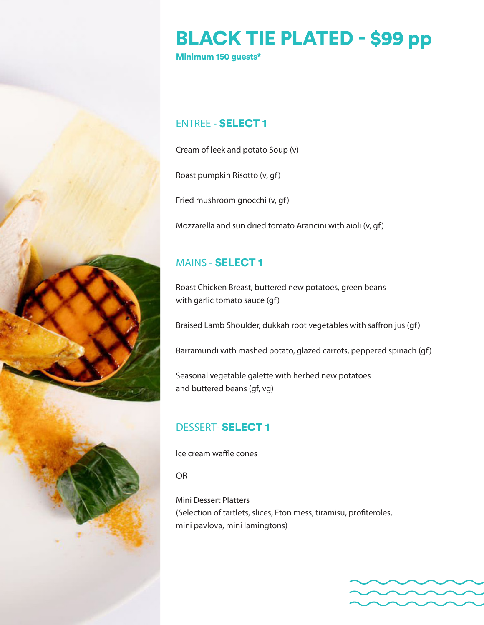

### BLACK TIE PLATED - \$99 pp

Minimum 150 guests\*

#### ENTREE - SELECT 1

Cream of leek and potato Soup (v)

Roast pumpkin Risotto (v, gf)

Fried mushroom gnocchi (v, gf)

Mozzarella and sun dried tomato Arancini with aioli (v, gf)

#### MAINS - SELECT 1

Roast Chicken Breast, buttered new potatoes, green beans with garlic tomato sauce (gf)

Braised Lamb Shoulder, dukkah root vegetables with saffron jus (gf)

Barramundi with mashed potato, glazed carrots, peppered spinach (gf)

Seasonal vegetable galette with herbed new potatoes and buttered beans (gf, vg)

#### DESSERT- SELECT 1

Ice cream waffle cones

OR

Mini Dessert Platters (Selection of tartlets, slices, Eton mess, tiramisu, profiteroles, mini pavlova, mini lamingtons)

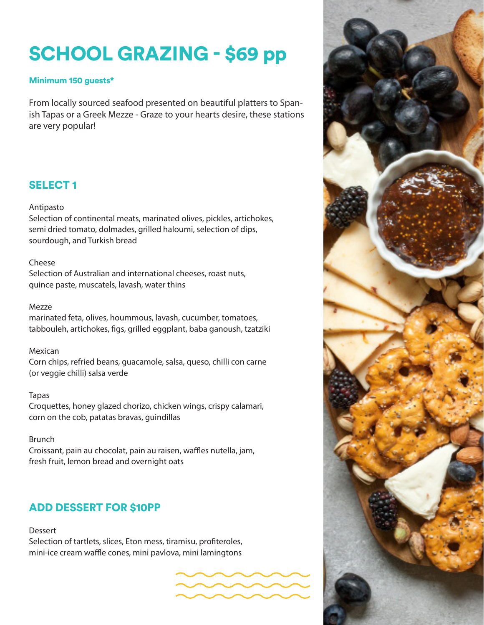## SCHOOL GRAZING - \$69 pp

#### Minimum 150 guests\*

From locally sourced seafood presented on beautiful platters to Spanish Tapas or a Greek Mezze - Graze to your hearts desire, these stations are very popular!

#### SELECT 1

#### Antipasto

Selection of continental meats, marinated olives, pickles, artichokes, semi dried tomato, dolmades, grilled haloumi, selection of dips, sourdough, and Turkish bread

#### Cheese

Selection of Australian and international cheeses, roast nuts, quince paste, muscatels, lavash, water thins

#### Mezze

marinated feta, olives, hoummous, lavash, cucumber, tomatoes, tabbouleh, artichokes, figs, grilled eggplant, baba ganoush, tzatziki

#### Mexican

Corn chips, refried beans, guacamole, salsa, queso, chilli con carne (or veggie chilli) salsa verde

#### Tapas

Croquettes, honey glazed chorizo, chicken wings, crispy calamari, corn on the cob, patatas bravas, guindillas

#### Brunch

Croissant, pain au chocolat, pain au raisen, waffles nutella, jam, fresh fruit, lemon bread and overnight oats

#### ADD DESSERT FOR \$10PP

Dessert

Selection of tartlets, slices, Eton mess, tiramisu, profiteroles, mini-ice cream waffle cones, mini pavlova, mini lamingtons



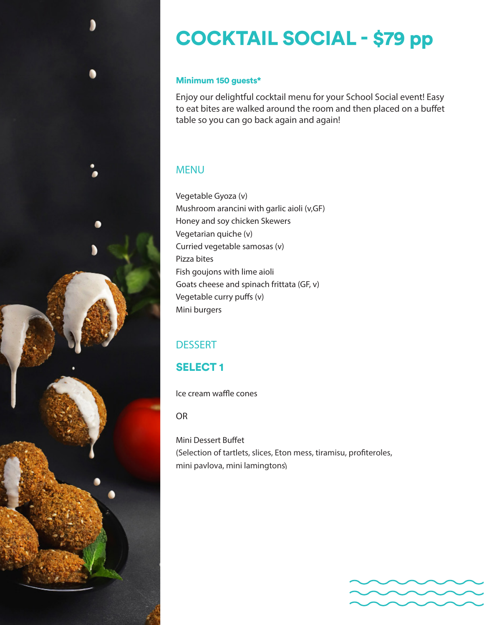

#### Minimum 150 guests\*

Enjoy our delightful cocktail menu for your School Social event! Easy to eat bites are walked around the room and then placed on a buffet table so you can go back again and again!

#### MENU

Vegetable Gyoza (v) Mushroom arancini with garlic aioli (v,GF) Honey and soy chicken Skewers Vegetarian quiche (v) Curried vegetable samosas (v) Pizza bites Fish goujons with lime aioli Goats cheese and spinach frittata (GF, v) Vegetable curry puffs (v) Mini burgers

#### **DESSERT**

### SELECT 1

Ice cream waffle cones

OR

Mini Dessert Buffet (Selection of tartlets, slices, Eton mess, tiramisu, profiteroles, mini pavlova, mini lamingtons)